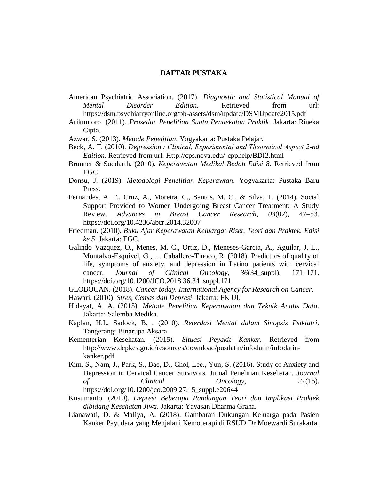## **DAFTAR PUSTAKA**

- American Psychiatric Association. (2017). *Diagnostic and Statistical Manual of Mental Disorder Edition.* Retrieved from url: https://dsm.psychiatryonline.org/pb-assets/dsm/update/DSMUpdate2015.pdf
- Arikuntoro. (2011). *Prosedur Penelitian Suatu Pendekatan Praktik*. Jakarta: Rineka Cipta.
- Azwar, S. (2013). *Metode Penelitian*. Yogyakarta: Pustaka Pelajar.
- Beck, A. T. (2010). *Depression : Clinical, Experimental and Theoretical Aspect 2-nd Edition*. Retrieved from url: Http://cps.nova.edu/-cpphelp/BDI2.html
- Brunner & Suddarth. (2010). *Keperawatan Medikal Bedah Edisi 8*. Retrieved from EGC
- Donsu, J. (2019). *Metodologi Penelitian Keperawtan*. Yogyakarta: Pustaka Baru Press.
- Fernandes, A. F., Cruz, A., Moreira, C., Santos, M. C., & Silva, T. (2014). Social Support Provided to Women Undergoing Breast Cancer Treatment: A Study Review. *Advances in Breast Cancer Research*, *03*(02), 47–53. https://doi.org/10.4236/abcr.2014.32007
- Friedman. (2010). *Buku Ajar Keperawatan Keluarga: Riset, Teori dan Praktek. Edisi ke 5*. Jakarta: EGC.
- Galindo Vazquez, O., Menes, M. C., Ortiz, D., Meneses-Garcia, A., Aguilar, J. L., Montalvo-Esquivel, G., … Caballero-Tinoco, R. (2018). Predictors of quality of life, symptoms of anxiety, and depression in Latino patients with cervical cancer. *Journal of Clinical Oncology*, *36*(34\_suppl), 171–171. https://doi.org/10.1200/JCO.2018.36.34\_suppl.171
- GLOBOCAN. (2018). *Cancer today. International Agency for Research on Cancer*.
- Hawari. (2010). *Stres, Cemas dan Depresi*. Jakarta: FK UI.
- Hidayat, A. A. (2015). *Metode Penelitian Keperawatan dan Teknik Analis Data*. Jakarta: Salemba Medika.
- Kaplan, H.I., Sadock, B. . (2010). *Reterdasi Mental dalam Sinopsis Psikiatri*. Tangerang: Binarupa Aksara.
- Kementerian Kesehatan. (2015). *Situasi Peyakit Kanker*. Retrieved from http://www.depkes.go.id/resources/download/pusdatin/infodatin/infodatinkanker.pdf
- Kim, S., Nam, J., Park, S., Bae, D., Chol, Lee., Yun, S. (2016). Study of Anxiety and Depression in Cervical Cancer Survivors. Jurnal Penelitian Kesehatan. *Journal of Clinical Oncology*, *27*(15). https://doi.org/10.1200/jco.2009.27.15\_suppl.e20644
- Kusumanto. (2010). *Depresi Beberapa Pandangan Teori dan Implikasi Praktek dibidang Kesehatan Jiwa*. Jakarta: Yayasan Dharma Graha.
- Lianawati, D. & Maliya, A. (2018). Gambaran Dukungan Keluarga pada Pasien Kanker Payudara yang Menjalani Kemoterapi di RSUD Dr Moewardi Surakarta.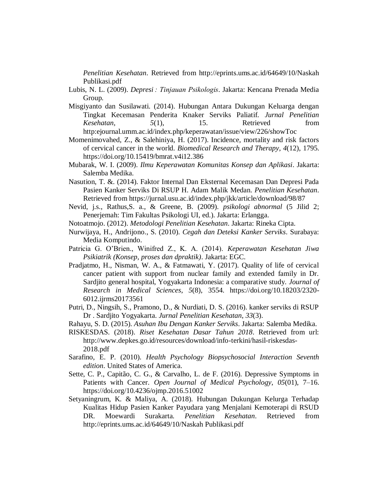*Penelitian Kesehatan*. Retrieved from http://eprints.ums.ac.id/64649/10/Naskah Publikasi.pdf

- Lubis, N. L. (2009). *Depresi : Tinjauan Psikologis*. Jakarta: Kencana Prenada Media Group.
- Misgiyanto dan Susilawati. (2014). Hubungan Antara Dukungan Keluarga dengan Tingkat Kecemasan Penderita Knaker Serviks Paliatif. *Jurnal Penelitian Kesehatan*, *5*(1), 15. Retrieved from http:ejournal.umm.ac.id/index.php/keperawatan/issue/view/226/showToc
- Momenimovahed, Z., & Salehiniya, H. (2017). Incidence, mortality and risk factors of cervical cancer in the world. *Biomedical Research and Therapy*, *4*(12), 1795. https://doi.org/10.15419/bmrat.v4i12.386
- Mubarak, W. I. (2009). *Ilmu Keperawatan Komunitas Konsep dan Aplikasi*. Jakarta: Salemba Medika.
- Nasution, T. &. (2014). Faktor Internal Dan Eksternal Kecemasan Dan Depresi Pada Pasien Kanker Serviks Di RSUP H. Adam Malik Medan. *Penelitian Kesehatan*. Retrieved from https://jurnal.usu.ac.id/index.php/jkk/article/download/98/87
- Nevid, j.s., Rathus,S. a., & Greene, B. (2009). *psikologi abnormal* (5 Jilid 2; Penerjemah: Tim Fakultas Psikologi UI, ed.). Jakarta: Erlangga.
- Notoatmojo. (2012). *Metodologi Penelitian Kesehatan*. Jakarta: Rineka Cipta.
- Nurwijaya, H., Andrijono., S. (2010). *Cegah dan Deteksi Kanker Serviks*. Surabaya: Media Komputindo.
- Patricia G. O'Brien., Winifred Z., K. A. (2014). *Keperawatan Kesehatan Jiwa Psikiatrik (Konsep, proses dan dpraktik)*. Jakarta: EGC.
- Pradjatmo, H., Nisman, W. A., & Fatmawati, Y. (2017). Quality of life of cervical cancer patient with support from nuclear family and extended family in Dr. Sardjito general hospital, Yogyakarta Indonesia: a comparative study. *Journal of Research in Medical Sciences*, *5*(8), 3554. https://doi.org/10.18203/2320- 6012.ijrms20173561
- Putri, D., Ningsih, S., Pramono, D., & Nurdiati, D. S. (2016). kanker serviks di RSUP Dr . Sardjito Yogyakarta. *Jurnal Penelitian Kesehatan*, *33*(3).
- Rahayu, S. D. (2015). *Asuhan Ibu Dengan Kanker Serviks*. Jakarta: Salemba Medika.
- RISKESDAS. (2018). *Riset Kesehatan Dasar Tahun 2018*. Retrieved from url: http://www.depkes.go.id/resources/download/info-terkini/hasil-riskesdas-2018.pdf
- Sarafino, E. P. (2010). *Health Psychology Biopsychosocial Interaction Seventh edition*. United States of America.
- Sette, C. P., Capitão, C. G., & Carvalho, L. de F. (2016). Depressive Symptoms in Patients with Cancer. *Open Journal of Medical Psychology*, *05*(01), 7–16. https://doi.org/10.4236/ojmp.2016.51002
- Setyaningrum, K. & Maliya, A. (2018). Hubungan Dukungan Kelurga Terhadap Kualitas Hidup Pasien Kanker Payudara yang Menjalani Kemoterapi di RSUD DR. Moewardi Surakarta. *Penelitian Kesehatan*. Retrieved from http://eprints.ums.ac.id/64649/10/Naskah Publikasi.pdf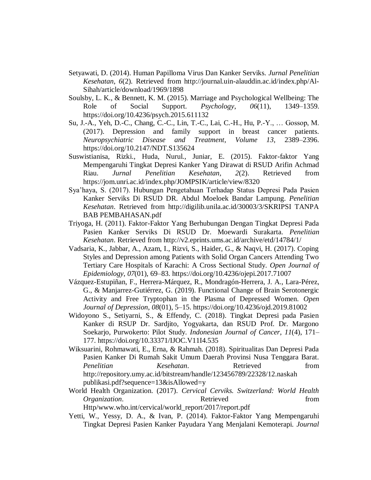- Setyawati, D. (2014). Human Papilloma Virus Dan Kanker Serviks. *Jurnal Penelitian Kesehatan*, *6*(2). Retrieved from http://journal.uin-alauddin.ac.id/index.php/Al-Sihah/article/download/1969/1898
- Soulsby, L. K., & Bennett, K. M. (2015). Marriage and Psychological Wellbeing: The Role of Social Support. *Psychology*, *06*(11), 1349–1359. https://doi.org/10.4236/psych.2015.611132
- Su, J.-A., Yeh, D.-C., Chang, C.-C., Lin, T.-C., Lai, C.-H., Hu, P.-Y., … Gossop, M. (2017). Depression and family support in breast cancer patients. *Neuropsychiatric Disease and Treatment*, *Volume 13*, 2389–2396. https://doi.org/10.2147/NDT.S135624
- Suswistianisa, Rizki., Huda, Nurul., Juniar, E. (2015). Faktor-faktor Yang Mempengaruhi Tingkat Depresi Kanker Yang Dirawat di RSUD Arifin Achmad Riau. *Jurnal Penelitian Kesehatan*, *2*(2). Retrieved from https://jom.unri.ac.id/index.php/JOMPSIK/article/view/8320
- Sya'haya, S. (2017). Hubungan Pengetahuan Terhadap Status Depresi Pada Pasien Kanker Serviks Di RSUD DR. Abdul Moeloek Bandar Lampung. *Penelitian Kesehatan*. Retrieved from http://digilib.unila.ac.id/30003/3/SKRIPSI TANPA BAB PEMBAHASAN.pdf
- Triyoga, H. (2011). Faktor-Faktor Yang Berhubungan Dengan Tingkat Depresi Pada Pasien Kanker Serviks Di RSUD Dr. Moewardi Surakarta. *Penelitian Kesehatan*. Retrieved from http://v2.eprints.ums.ac.id/archive/etd/14784/1/
- Vadsaria, K., Jabbar, A., Azam, I., Rizvi, S., Haider, G., & Naqvi, H. (2017). Coping Styles and Depression among Patients with Solid Organ Cancers Attending Two Tertiary Care Hospitals of Karachi: A Cross Sectional Study. *Open Journal of Epidemiology*, *07*(01), 69–83. https://doi.org/10.4236/ojepi.2017.71007
- Vázquez-Estupiñan, F., Herrera-Márquez, R., Mondragón-Herrera, J. A., Lara-Pérez, G., & Manjarrez-Gutiérrez, G. (2019). Functional Change of Brain Serotonergic Activity and Free Tryptophan in the Plasma of Depressed Women. *Open Journal of Depression*, *08*(01), 5–15. https://doi.org/10.4236/ojd.2019.81002
- Widoyono S., Setiyarni, S., & Effendy, C. (2018). Tingkat Depresi pada Pasien Kanker di RSUP Dr. Sardjito, Yogyakarta, dan RSUD Prof. Dr. Margono Soekarjo, Purwokerto: Pilot Study. *Indonesian Journal of Cancer*, *11*(4), 171– 177. https://doi.org/10.33371/IJOC.V11I4.535
- Wiksuarini, Rohmawati, E., Erna, & Rahmah. (2018). Spiritualitas Dan Depresi Pada Pasien Kanker Di Rumah Sakit Umum Daerah Provinsi Nusa Tenggara Barat. *Penelitian Kesehatan*. Retrieved from http://repository.umy.ac.id/bitstream/handle/123456789/22328/12.naskah publikasi.pdf?sequence=13&isAllowed=y
- World Health Organization. (2017). *Cervical Cerviks. Switzerland: World Health Organization*. **Retrieved here here from** Http/www.who.int/cervical/world\_report/2017/report.pdf
- Yetti, W., Yessy, D. A., & Ivan, P. (2014). Faktor-Faktor Yang Mempengaruhi Tingkat Depresi Pasien Kanker Payudara Yang Menjalani Kemoterapi. *Journal*